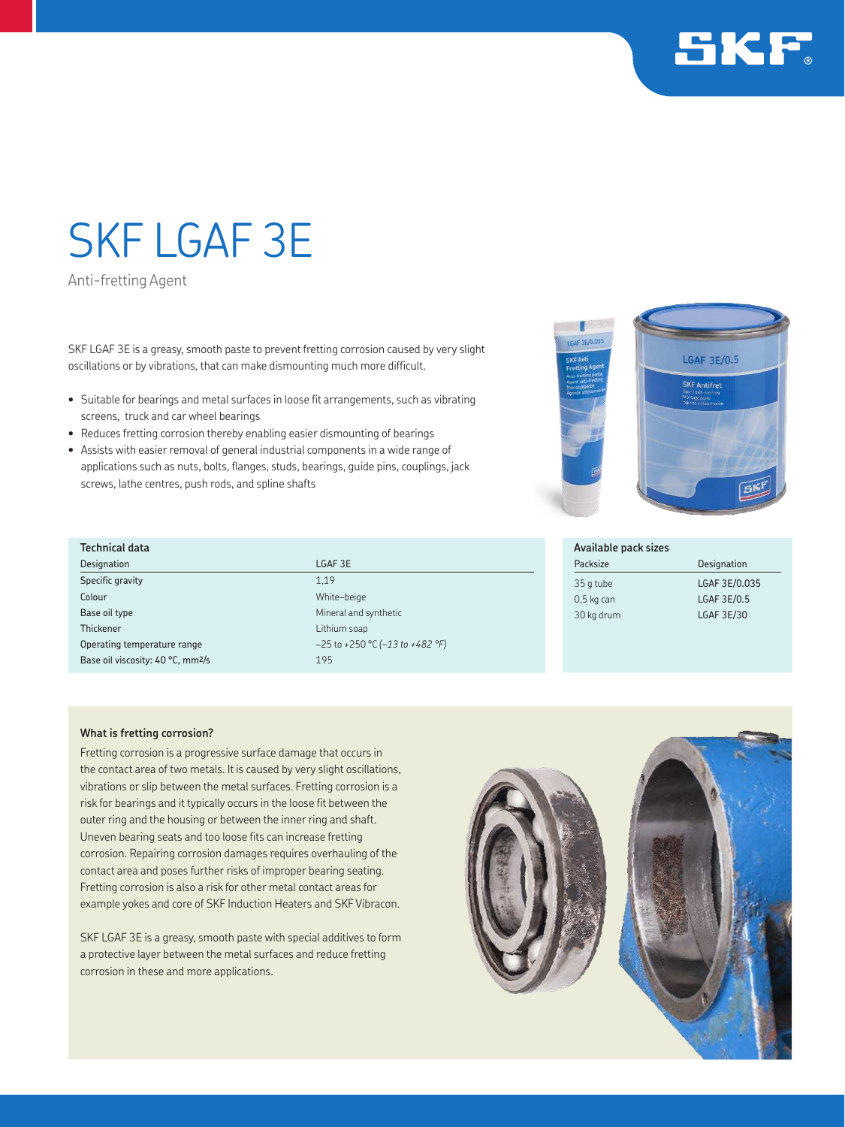

# SKF LGAF 3E

Anti-fretting Agent

SKF LGAF 3E is a greasy, smooth paste to prevent fretting corrosion caused by very slight oscillations or by vibrations, that can make dismounting much more difficult.

- Suitable for bearings and metal surfaces in loose fit arrangements, such as vibrating screens, truck and car wheel bearings
- Reduces fretting corrosion thereby enabling easier dismounting of bearings
- Assists with easier removal of general industrial components in a wide range of applications such as nuts, bolts, flanges, studs, bearings, guide pins, couplings, jack screws, lathe centres, push rods, and spline shafts



## **Technical data**

Designation LGAF 3E Specific gravity 1,19 Colour White–beige **Base oil type Mineral and synthetic** Base of type Mineral and synthetic **Thickener** Lithium soap Operating temperature range –25 to +250 °C *(–13 to +482 °F)* Base oil viscosity: 40 °C, mm<sup>2</sup>/s 195

#### **Available pack sizes** Packsize Designation

0,5 kg can LGAF 3E/0.5 30 kg drum LGAF 3E/30

35 g tube LGAF 3E/0.035

### **What is fretting corrosion?**

Fretting corrosion is a progressive surface damage that occurs in the contact area of two metals. It is caused by very slight oscillations, vibrations or slip between the metal surfaces. Fretting corrosion is a risk for bearings and it typically occurs in the loose fit between the outer ring and the housing or between the inner ring and shaft. Uneven bearing seats and too loose fits can increase fretting corrosion. Repairing corrosion damages requires overhauling of the contact area and poses further risks of improper bearing seating. Fretting corrosion is also a risk for other metal contact areas for example yokes and core of SKF Induction Heaters and SKF Vibracon.

SKF LGAF 3E is a greasy, smooth paste with special additives to form a protective layer between the metal surfaces and reduce fretting corrosion in these and more applications.